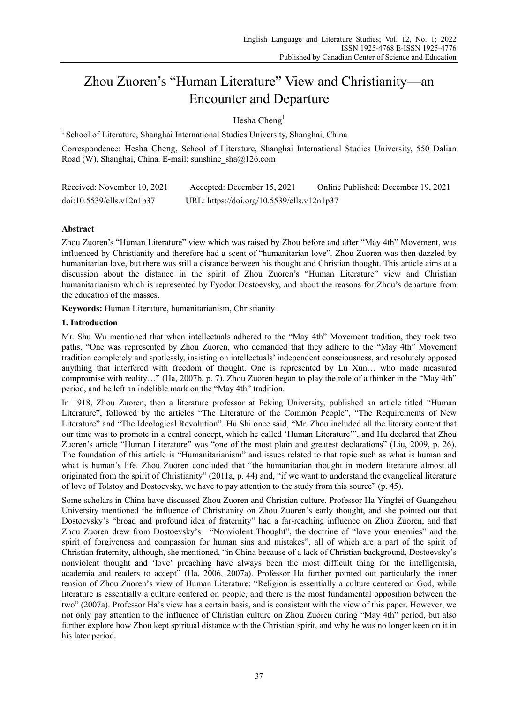# Zhou Zuoren's "Human Literature" View and Christianity—an Encounter and Departure

Hesha Cheng<sup>1</sup>

<sup>1</sup> School of Literature, Shanghai International Studies University, Shanghai, China

Correspondence: Hesha Cheng, School of Literature, Shanghai International Studies University, 550 Dalian Road (W), Shanghai, China. E-mail: sunshine\_sha@126.com

| Received: November 10, 2021 | Accepted: December 15, 2021                | Online Published: December 19, 2021 |
|-----------------------------|--------------------------------------------|-------------------------------------|
| doi:10.5539/ells.v12n1p37   | URL: https://doi.org/10.5539/ells.v12n1p37 |                                     |

## **Abstract**

Zhou Zuoren's "Human Literature" view which was raised by Zhou before and after "May 4th" Movement, was influenced by Christianity and therefore had a scent of "humanitarian love". Zhou Zuoren was then dazzled by humanitarian love, but there was still a distance between his thought and Christian thought. This article aims at a discussion about the distance in the spirit of Zhou Zuoren's "Human Literature" view and Christian humanitarianism which is represented by Fyodor Dostoevsky, and about the reasons for Zhou's departure from the education of the masses.

**Keywords:** Human Literature, humanitarianism, Christianity

## **1. Introduction**

Mr. Shu Wu mentioned that when intellectuals adhered to the "May 4th" Movement tradition, they took two paths. "One was represented by Zhou Zuoren, who demanded that they adhere to the "May 4th" Movement tradition completely and spotlessly, insisting on intellectuals' independent consciousness, and resolutely opposed anything that interfered with freedom of thought. One is represented by Lu Xun… who made measured compromise with reality…" (Ha, 2007b, p. 7). Zhou Zuoren began to play the role of a thinker in the "May 4th" period, and he left an indelible mark on the "May 4th" tradition.

In 1918, Zhou Zuoren, then a literature professor at Peking University, published an article titled "Human Literature", followed by the articles "The Literature of the Common People", "The Requirements of New Literature" and "The Ideological Revolution". Hu Shi once said, "Mr. Zhou included all the literary content that our time was to promote in a central concept, which he called 'Human Literature'", and Hu declared that Zhou Zuoren's article "Human Literature" was "one of the most plain and greatest declarations" (Liu, 2009, p. 26). The foundation of this article is "Humanitarianism" and issues related to that topic such as what is human and what is human's life. Zhou Zuoren concluded that "the humanitarian thought in modern literature almost all originated from the spirit of Christianity" (2011a, p. 44) and, "if we want to understand the evangelical literature of love of Tolstoy and Dostoevsky, we have to pay attention to the study from this source" (p. 45).

Some scholars in China have discussed Zhou Zuoren and Christian culture. Professor Ha Yingfei of Guangzhou University mentioned the influence of Christianity on Zhou Zuoren's early thought, and she pointed out that Dostoevsky's "broad and profound idea of fraternity" had a far-reaching influence on Zhou Zuoren, and that Zhou Zuoren drew from Dostoevsky's "Nonviolent Thought", the doctrine of "love your enemies" and the spirit of forgiveness and compassion for human sins and mistakes", all of which are a part of the spirit of Christian fraternity, although, she mentioned, "in China because of a lack of Christian background, Dostoevsky's nonviolent thought and 'love' preaching have always been the most difficult thing for the intelligentsia, academia and readers to accept" (Ha, 2006, 2007a). Professor Ha further pointed out particularly the inner tension of Zhou Zuoren's view of Human Literature: "Religion is essentially a culture centered on God, while literature is essentially a culture centered on people, and there is the most fundamental opposition between the two" (2007a). Professor Ha's view has a certain basis, and is consistent with the view of this paper. However, we not only pay attention to the influence of Christian culture on Zhou Zuoren during "May 4th" period, but also further explore how Zhou kept spiritual distance with the Christian spirit, and why he was no longer keen on it in his later period.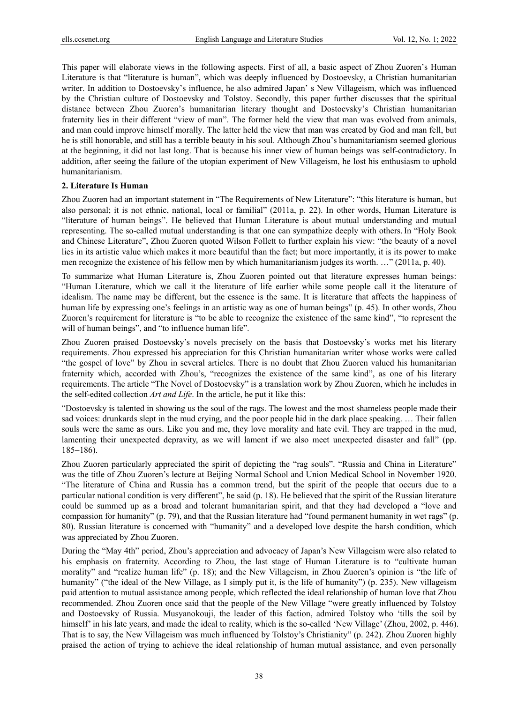This paper will elaborate views in the following aspects. First of all, a basic aspect of Zhou Zuoren's Human Literature is that "literature is human", which was deeply influenced by Dostoevsky, a Christian humanitarian writer. In addition to Dostoevsky's influence, he also admired Japan' s New Villageism, which was influenced by the Christian culture of Dostoevsky and Tolstoy. Secondly, this paper further discusses that the spiritual distance between Zhou Zuoren's humanitarian literary thought and Dostoevsky's Christian humanitarian fraternity lies in their different "view of man". The former held the view that man was evolved from animals, and man could improve himself morally. The latter held the view that man was created by God and man fell, but he is still honorable, and still has a terrible beauty in his soul. Although Zhou's humanitarianism seemed glorious at the beginning, it did not last long. That is because his inner view of human beings was self-contradictory. In addition, after seeing the failure of the utopian experiment of New Villageism, he lost his enthusiasm to uphold humanitarianism.

## **2. Literature Is Human**

Zhou Zuoren had an important statement in "The Requirements of New Literature": "this literature is human, but also personal; it is not ethnic, national, local or familial" (2011a, p. 22). In other words, Human Literature is "literature of human beings". He believed that Human Literature is about mutual understanding and mutual representing. The so-called mutual understanding is that one can sympathize deeply with others.In "Holy Book and Chinese Literature", Zhou Zuoren quoted Wilson Follett to further explain his view: "the beauty of a novel lies in its artistic value which makes it more beautiful than the fact; but more importantly, it is its power to make men recognize the existence of his fellow men by which humanitarianism judges its worth. …" (2011a, p. 40).

To summarize what Human Literature is, Zhou Zuoren pointed out that literature expresses human beings: "Human Literature, which we call it the literature of life earlier while some people call it the literature of idealism. The name may be different, but the essence is the same. It is literature that affects the happiness of human life by expressing one's feelings in an artistic way as one of human beings" (p. 45). In other words, Zhou Zuoren's requirement for literature is "to be able to recognize the existence of the same kind", "to represent the will of human beings", and "to influence human life".

Zhou Zuoren praised Dostoevsky's novels precisely on the basis that Dostoevsky's works met his literary requirements. Zhou expressed his appreciation for this Christian humanitarian writer whose works were called "the gospel of love" by Zhou in several articles. There is no doubt that Zhou Zuoren valued his humanitarian fraternity which, accorded with Zhou's, "recognizes the existence of the same kind", as one of his literary requirements. The article "The Novel of Dostoevsky" is a translation work by Zhou Zuoren, which he includes in the self-edited collection *Art and Life*. In the article, he put it like this:

"Dostoevsky is talented in showing us the soul of the rags. The lowest and the most shameless people made their sad voices: drunkards slept in the mud crying, and the poor people hid in the dark place speaking. … Their fallen souls were the same as ours. Like you and me, they love morality and hate evil. They are trapped in the mud, lamenting their unexpected depravity, as we will lament if we also meet unexpected disaster and fall" (pp. 185−186).

Zhou Zuoren particularly appreciated the spirit of depicting the "rag souls". "Russia and China in Literature" was the title of Zhou Zuoren's lecture at Beijing Normal School and Union Medical School in November 1920. "The literature of China and Russia has a common trend, but the spirit of the people that occurs due to a particular national condition is very different", he said (p. 18). He believed that the spirit of the Russian literature could be summed up as a broad and tolerant humanitarian spirit, and that they had developed a "love and compassion for humanity" (p. 79), and that the Russian literature had "found permanent humanity in wet rags" (p. 80). Russian literature is concerned with "humanity" and a developed love despite the harsh condition, which was appreciated by Zhou Zuoren.

During the "May 4th" period, Zhou's appreciation and advocacy of Japan's New Villageism were also related to his emphasis on fraternity. According to Zhou, the last stage of Human Literature is to "cultivate human morality" and "realize human life" (p. 18); and the New Villageism, in Zhou Zuoren's opinion is "the life of humanity" ("the ideal of the New Village, as I simply put it, is the life of humanity") (p. 235). New villageism paid attention to mutual assistance among people, which reflected the ideal relationship of human love that Zhou recommended. Zhou Zuoren once said that the people of the New Village "were greatly influenced by Tolstoy and Dostoevsky of Russia. Musyanokouji, the leader of this faction, admired Tolstoy who 'tills the soil by himself' in his late years, and made the ideal to reality, which is the so-called 'New Village' (Zhou, 2002, p. 446). That is to say, the New Villageism was much influenced by Tolstoy's Christianity" (p. 242). Zhou Zuoren highly praised the action of trying to achieve the ideal relationship of human mutual assistance, and even personally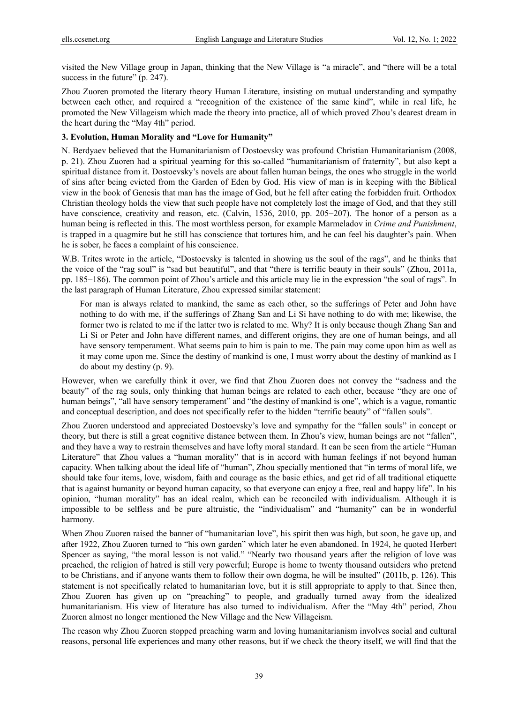visited the New Village group in Japan, thinking that the New Village is "a miracle", and "there will be a total success in the future" (p. 247).

Zhou Zuoren promoted the literary theory Human Literature, insisting on mutual understanding and sympathy between each other, and required a "recognition of the existence of the same kind", while in real life, he promoted the New Villageism which made the theory into practice, all of which proved Zhou's dearest dream in the heart during the "May 4th" period.

## **3. Evolution, Human Morality and "Love for Humanity"**

N. Berdyaev believed that the Humanitarianism of Dostoevsky was profound Christian Humanitarianism (2008, p. 21). Zhou Zuoren had a spiritual yearning for this so-called "humanitarianism of fraternity", but also kept a spiritual distance from it. Dostoevsky's novels are about fallen human beings, the ones who struggle in the world of sins after being evicted from the Garden of Eden by God. His view of man is in keeping with the Biblical view in the book of Genesis that man has the image of God, but he fell after eating the forbidden fruit. Orthodox Christian theology holds the view that such people have not completely lost the image of God, and that they still have conscience, creativity and reason, etc. (Calvin, 1536, 2010, pp. 205−207). The honor of a person as a human being is reflected in this. The most worthless person, for example Marmeladov in *Crime and Punishment*, is trapped in a quagmire but he still has conscience that tortures him, and he can feel his daughter's pain. When he is sober, he faces a complaint of his conscience.

W.B. Trites wrote in the article, "Dostoevsky is talented in showing us the soul of the rags", and he thinks that the voice of the "rag soul" is "sad but beautiful", and that "there is terrific beauty in their souls" (Zhou, 2011a, pp. 185−186). The common point of Zhou's article and this article may lie in the expression "the soul of rags". In the last paragraph of Human Literature, Zhou expressed similar statement:

For man is always related to mankind, the same as each other, so the sufferings of Peter and John have nothing to do with me, if the sufferings of Zhang San and Li Si have nothing to do with me; likewise, the former two is related to me if the latter two is related to me. Why? It is only because though Zhang San and Li Si or Peter and John have different names, and different origins, they are one of human beings, and all have sensory temperament. What seems pain to him is pain to me. The pain may come upon him as well as it may come upon me. Since the destiny of mankind is one, I must worry about the destiny of mankind as I do about my destiny (p. 9).

However, when we carefully think it over, we find that Zhou Zuoren does not convey the "sadness and the beauty" of the rag souls, only thinking that human beings are related to each other, because "they are one of human beings", "all have sensory temperament" and "the destiny of mankind is one", which is a vague, romantic and conceptual description, and does not specifically refer to the hidden "terrific beauty" of "fallen souls".

Zhou Zuoren understood and appreciated Dostoevsky's love and sympathy for the "fallen souls" in concept or theory, but there is still a great cognitive distance between them. In Zhou's view, human beings are not "fallen", and they have a way to restrain themselves and have lofty moral standard. It can be seen from the article "Human Literature" that Zhou values a "human morality" that is in accord with human feelings if not beyond human capacity. When talking about the ideal life of "human", Zhou specially mentioned that "in terms of moral life, we should take four items, love, wisdom, faith and courage as the basic ethics, and get rid of all traditional etiquette that is against humanity or beyond human capacity, so that everyone can enjoy a free, real and happy life". In his opinion, "human morality" has an ideal realm, which can be reconciled with individualism. Although it is impossible to be selfless and be pure altruistic, the "individualism" and "humanity" can be in wonderful harmony.

When Zhou Zuoren raised the banner of "humanitarian love", his spirit then was high, but soon, he gave up, and after 1922, Zhou Zuoren turned to "his own garden" which later he even abandoned. In 1924, he quoted Herbert Spencer as saying, "the moral lesson is not valid." "Nearly two thousand years after the religion of love was preached, the religion of hatred is still very powerful; Europe is home to twenty thousand outsiders who pretend to be Christians, and if anyone wants them to follow their own dogma, he will be insulted" (2011b, p. 126). This statement is not specifically related to humanitarian love, but it is still appropriate to apply to that. Since then, Zhou Zuoren has given up on "preaching" to people, and gradually turned away from the idealized humanitarianism. His view of literature has also turned to individualism. After the "May 4th" period, Zhou Zuoren almost no longer mentioned the New Village and the New Villageism.

The reason why Zhou Zuoren stopped preaching warm and loving humanitarianism involves social and cultural reasons, personal life experiences and many other reasons, but if we check the theory itself, we will find that the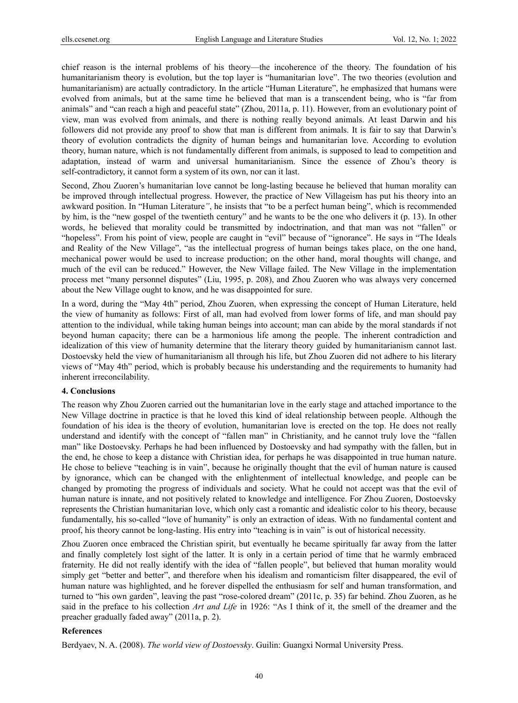chief reason is the internal problems of his theory—the incoherence of the theory. The foundation of his humanitarianism theory is evolution, but the top layer is "humanitarian love". The two theories (evolution and humanitarianism) are actually contradictory. In the article "Human Literature", he emphasized that humans were evolved from animals, but at the same time he believed that man is a transcendent being, who is "far from animals" and "can reach a high and peaceful state" (Zhou, 2011a, p. 11). However, from an evolutionary point of view, man was evolved from animals, and there is nothing really beyond animals. At least Darwin and his followers did not provide any proof to show that man is different from animals. It is fair to say that Darwin's theory of evolution contradicts the dignity of human beings and humanitarian love. According to evolution theory, human nature, which is not fundamentally different from animals, is supposed to lead to competition and adaptation, instead of warm and universal humanitarianism. Since the essence of Zhou's theory is self-contradictory, it cannot form a system of its own, nor can it last.

Second, Zhou Zuoren's humanitarian love cannot be long-lasting because he believed that human morality can be improved through intellectual progress. However, the practice of New Villageism has put his theory into an awkward position. In "Human Literature*"*, he insists that "to be a perfect human being", which is recommended by him, is the "new gospel of the twentieth century" and he wants to be the one who delivers it (p. 13). In other words, he believed that morality could be transmitted by indoctrination, and that man was not "fallen" or "hopeless". From his point of view, people are caught in "evil" because of "ignorance". He says in "The Ideals and Reality of the New Village", "as the intellectual progress of human beings takes place, on the one hand, mechanical power would be used to increase production; on the other hand, moral thoughts will change, and much of the evil can be reduced." However, the New Village failed. The New Village in the implementation process met "many personnel disputes" (Liu, 1995, p. 208), and Zhou Zuoren who was always very concerned about the New Village ought to know, and he was disappointed for sure.

In a word, during the "May 4th" period, Zhou Zuoren, when expressing the concept of Human Literature, held the view of humanity as follows: First of all, man had evolved from lower forms of life, and man should pay attention to the individual, while taking human beings into account; man can abide by the moral standards if not beyond human capacity; there can be a harmonious life among the people. The inherent contradiction and idealization of this view of humanity determine that the literary theory guided by humanitarianism cannot last. Dostoevsky held the view of humanitarianism all through his life, but Zhou Zuoren did not adhere to his literary views of "May 4th" period, which is probably because his understanding and the requirements to humanity had inherent irreconcilability.

#### **4. Conclusions**

The reason why Zhou Zuoren carried out the humanitarian love in the early stage and attached importance to the New Village doctrine in practice is that he loved this kind of ideal relationship between people. Although the foundation of his idea is the theory of evolution, humanitarian love is erected on the top. He does not really understand and identify with the concept of "fallen man" in Christianity, and he cannot truly love the "fallen man" like Dostoevsky. Perhaps he had been influenced by Dostoevsky and had sympathy with the fallen, but in the end, he chose to keep a distance with Christian idea, for perhaps he was disappointed in true human nature. He chose to believe "teaching is in vain", because he originally thought that the evil of human nature is caused by ignorance, which can be changed with the enlightenment of intellectual knowledge, and people can be changed by promoting the progress of individuals and society. What he could not accept was that the evil of human nature is innate, and not positively related to knowledge and intelligence. For Zhou Zuoren, Dostoevsky represents the Christian humanitarian love, which only cast a romantic and idealistic color to his theory, because fundamentally, his so-called "love of humanity" is only an extraction of ideas. With no fundamental content and proof, his theory cannot be long-lasting. His entry into "teaching is in vain" is out of historical necessity.

Zhou Zuoren once embraced the Christian spirit, but eventually he became spiritually far away from the latter and finally completely lost sight of the latter. It is only in a certain period of time that he warmly embraced fraternity. He did not really identify with the idea of "fallen people", but believed that human morality would simply get "better and better", and therefore when his idealism and romanticism filter disappeared, the evil of human nature was highlighted, and he forever dispelled the enthusiasm for self and human transformation, and turned to "his own garden", leaving the past "rose-colored dream" (2011c, p. 35) far behind. Zhou Zuoren, as he said in the preface to his collection *Art and Life* in 1926: "As I think of it, the smell of the dreamer and the preacher gradually faded away" (2011a, p. 2).

#### **References**

Berdyaev, N. A. (2008). *The world view of Dostoevsky*. Guilin: Guangxi Normal University Press.